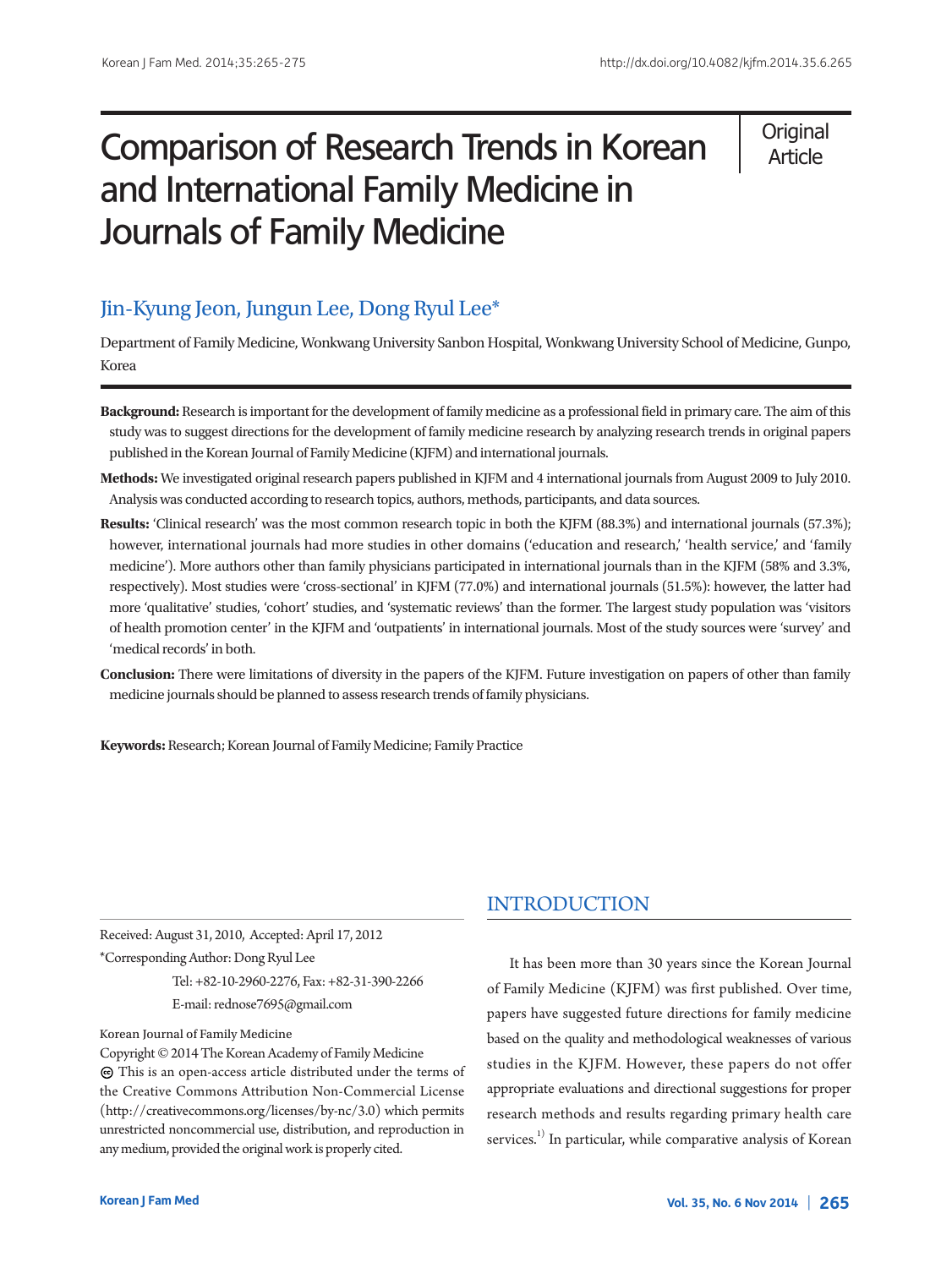# Comparison of Research Trends in Korean and International Family Medicine in Journals of Family Medicine

**Original** Article

# Jin-Kyung Jeon, Jungun Lee, Dong Ryul Lee\*

Department of Family Medicine, Wonkwang University Sanbon Hospital, Wonkwang University School of Medicine, Gunpo, Korea

- **Background:** Research is important for the development of family medicine as a professional field in primary care. The aim of this study was to suggest directions for the development of family medicine research by analyzing research trends in original papers published in the Korean Journal of Family Medicine (KJFM) and international journals.
- **Methods:** We investigated original research papers published in KJFM and 4 international journals from August 2009 to July 2010. Analysis was conducted according to research topics, authors, methods, participants, and data sources.
- **Results:** 'Clinical research' was the most common research topic in both the KJFM (88.3%) and international journals (57.3%); however, international journals had more studies in other domains ('education and research,' 'health service,' and 'family medicine'). More authors other than family physicians participated in international journals than in the KJFM (58% and 3.3%, respectively). Most studies were 'cross-sectional' in KJFM (77.0%) and international journals (51.5%): however, the latter had more 'qualitative' studies, 'cohort' studies, and 'systematic reviews' than the former. The largest study population was 'visitors of health promotion center' in the KJFM and 'outpatients' in international journals. Most of the study sources were 'survey' and 'medical records' in both.
- **Conclusion:** There were limitations of diversity in the papers of the KJFM. Future investigation on papers of other than family medicine journals should be planned to assess research trends of family physicians.

**Keywords:** Research; Korean Journal of Family Medicine; Family Practice

Received:August 31, 2010, Accepted:April 17, 2012 \*CorrespondingAuthor:DongRyul Lee

Tel: +82-10-2960-2276, Fax: +82-31-390-2266 E-mail: rednose7695@gmail.com

#### Korean Journal of Family Medicine

Copyright © 2014 The Korean Academy of Family Medicine This is an open-access article distributed under the terms of the Creative Commons Attribution Non-Commercial License (http://creativecommons.org/licenses/by-nc/3.0) which permits unrestricted noncommercial use, distribution, and reproduction in any medium, provided the original work is properly cited.

# INTRODUCTION

It has been more than 30 years since the Korean Journal of Family Medicine (KJFM) was first published. Over time, papers have suggested future directions for family medicine based on the quality and methodological weaknesses of various studies in the KJFM. However, these papers do not offer appropriate evaluations and directional suggestions for proper research methods and results regarding primary health care services.<sup>1)</sup> In particular, while comparative analysis of Korean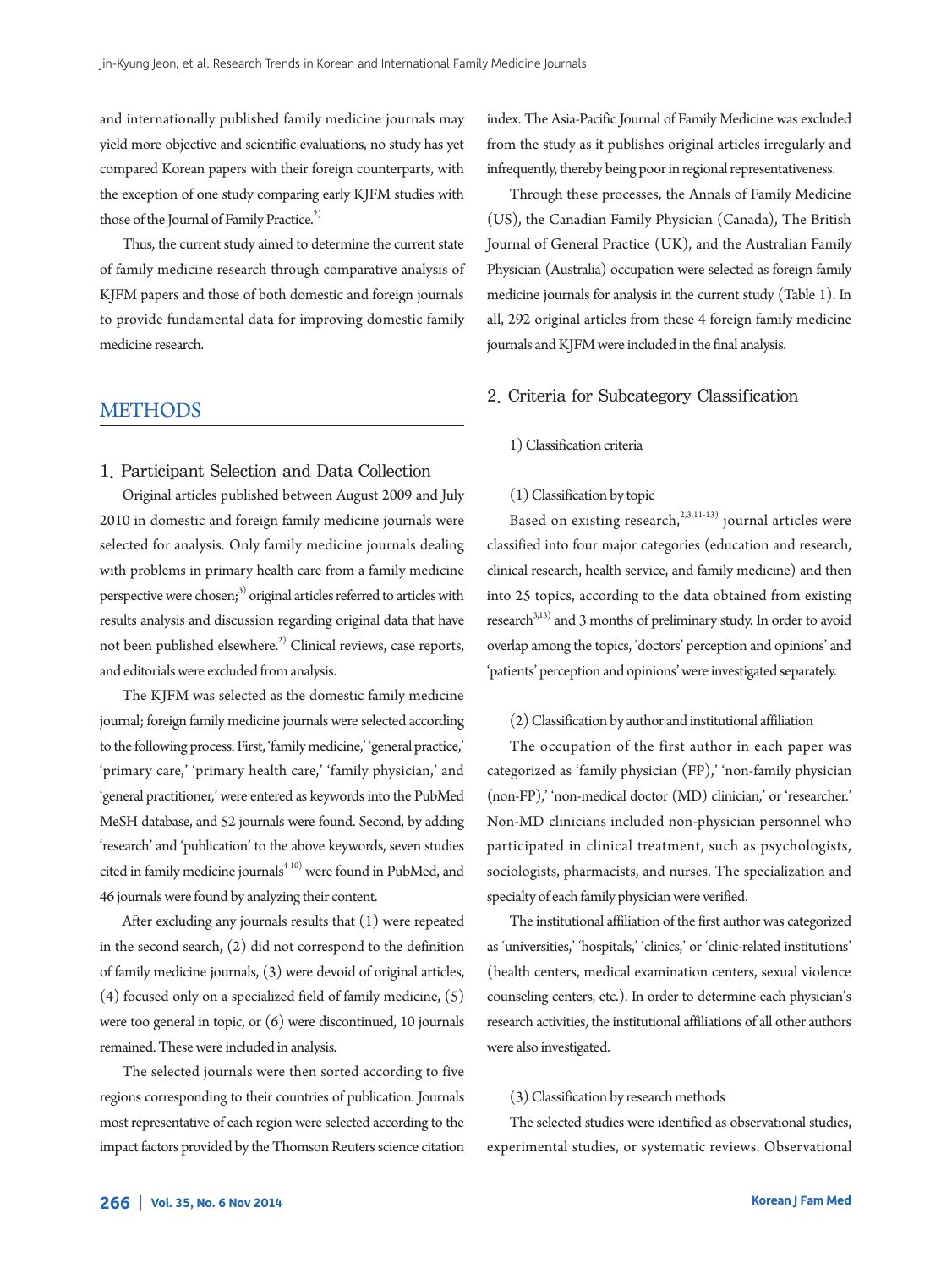and internationally published family medicine journals may yield more objective and scientific evaluations, no study has yet compared Korean papers with their foreign counterparts, with the exception of one study comparing early KJFM studies with those of the Journal of Family Practice.<sup>2)</sup>

Thus, the current study aimed to determine the current state of family medicine research through comparative analysis of KJFM papers and those of both domestic and foreign journals to provide fundamental data for improving domestic family medicine research.

# METHODS

1. Participant Selection and Data Collection

Original articles published between August 2009 and July 2010 in domestic and foreign family medicine journals were selected for analysis. Only family medicine journals dealing with problems in primary health care from a family medicine perspective were chosen; $^3$ ) original articles referred to articles with results analysis and discussion regarding original data that have not been published elsewhere. 2) Clinical reviews, case reports, and editorials were excluded from analysis.

The KJFM was selected as the domestic family medicine journal; foreign family medicine journals were selected according to the following process. First, 'family medicine,' 'general practice,' 'primary care,' 'primary health care,' 'family physician,' and 'general practitioner,' were entered as keywords into the PubMed MeSH database, and 52 journals were found. Second, by adding 'research' and 'publication' to the above keywords, seven studies cited in family medicine journals 4-10) were found in PubMed, and 46 journals were found by analyzing their content.

After excluding any journals results that (1) were repeated in the second search, (2) did not correspond to the definition of family medicine journals, (3) were devoid of original articles, (4) focused only on a specialized field of family medicine, (5) were too general in topic, or  $(6)$  were discontinued, 10 journals remained.Thesewere included in analysis.

The selected journals were then sorted according to five regions corresponding to their countries of publication. Journals most representative of each region were selected according to the impact factors provided by the Thomson Reuters science citation index. The Asia-Pacific Journal of Family Medicine was excluded from the study as it publishes original articles irregularly and infrequently, thereby being poor in regional representativeness.

Through these processes, the Annals of Family Medicine (US), the Canadian Family Physician (Canada), The British Journal of General Practice (UK), and the Australian Family Physician (Australia) occupation were selected as foreign family medicine journals for analysis in the current study (Table 1). In all, 292 original articles from these 4 foreign family medicine journals and KJFM were included in the final analysis.

## 2. Criteria for Subcategory Classification

## 1)Classification criteria

#### (1)Classification by topic

Based on existing research, 2,3,11-13) journal articles were classified into four major categories (education and research, clinical research, health service, and family medicine) and then into 25 topics, according to the data obtained from existing research<sup>3,13)</sup> and 3 months of preliminary study. In order to avoid overlap among the topics, 'doctors' perception and opinions' and 'patients' perception and opinions'were investigated separately.

#### (2)Classification by author and institutional affiliation

The occupation of the first author in each paper was categorized as 'family physician (FP),' 'non-family physician (non-FP),' 'non-medical doctor (MD) clinician,' or 'researcher.' Non-MD clinicians included non-physician personnel who participated in clinical treatment, such as psychologists, sociologists, pharmacists, and nurses. The specialization and specialty of each family physician were verified.

The institutional affiliation of the first author was categorized as 'universities,' 'hospitals,' 'clinics,' or 'clinic-related institutions' (health centers, medical examination centers, sexual violence counseling centers, etc.). In order to determine each physician's research activities, the institutional affiliations of all other authors were also investigated.

#### (3) Classification by research methods

The selected studies were identified as observational studies, experimental studies, or systematic reviews. Observational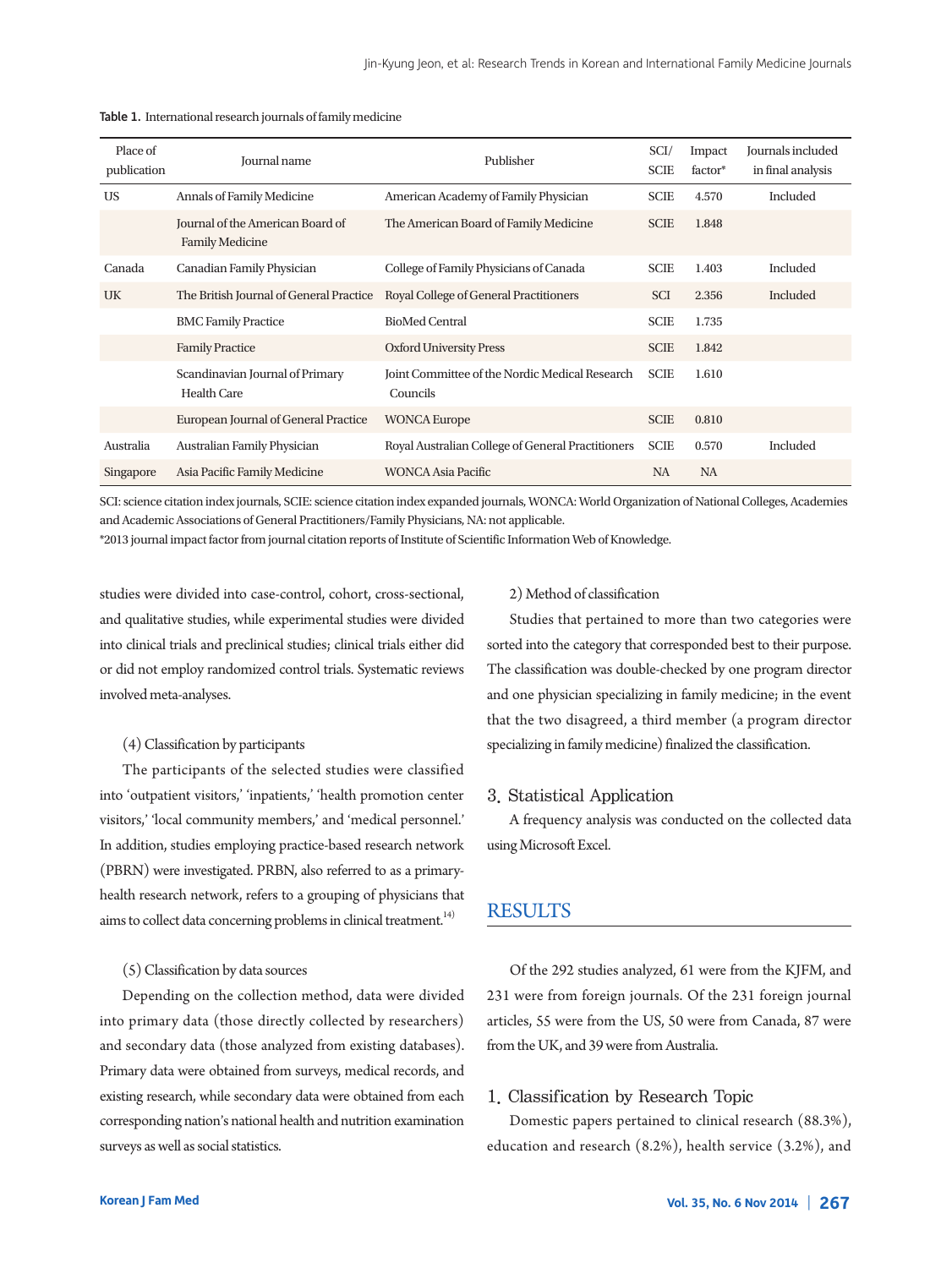| Place of<br>publication | <b>Journal</b> name                                        | Publisher                                                  |             | Impact<br>factor* | Journals included<br>in final analysis |
|-------------------------|------------------------------------------------------------|------------------------------------------------------------|-------------|-------------------|----------------------------------------|
| <b>US</b>               | Annals of Family Medicine                                  | American Academy of Family Physician                       | <b>SCIE</b> | 4.570             | Included                               |
|                         | Journal of the American Board of<br><b>Family Medicine</b> | The American Board of Family Medicine                      | <b>SCIE</b> | 1.848             |                                        |
| Canada                  | Canadian Family Physician                                  | College of Family Physicians of Canada                     | <b>SCIE</b> | 1.403             | Included                               |
| UK                      | The British Journal of General Practice                    | Royal College of General Practitioners                     | <b>SCI</b>  | 2.356             | Included                               |
|                         | <b>BMC Family Practice</b>                                 | <b>BioMed Central</b>                                      | <b>SCIE</b> | 1.735             |                                        |
|                         | <b>Family Practice</b>                                     | <b>Oxford University Press</b>                             | <b>SCIE</b> | 1.842             |                                        |
|                         | Scandinavian Journal of Primary<br><b>Health Care</b>      | Joint Committee of the Nordic Medical Research<br>Councils | <b>SCIE</b> | 1.610             |                                        |
|                         | European Journal of General Practice                       | <b>WONCA Europe</b>                                        | <b>SCIE</b> | 0.810             |                                        |
| Australia               | Australian Family Physician                                | Royal Australian College of General Practitioners          | <b>SCIE</b> | 0.570             | Included                               |
| Singapore               | Asia Pacific Family Medicine                               | <b>WONCA Asia Pacific</b>                                  | <b>NA</b>   | <b>NA</b>         |                                        |

|  | Table 1. International research journals of family medicine |  |  |  |
|--|-------------------------------------------------------------|--|--|--|
|--|-------------------------------------------------------------|--|--|--|

SCI: science citation index journals, SCIE: science citation index expanded journals, WONCA: World Organization of National Colleges, Academies and Academic Associations of General Practitioners/Family Physicians, NA: not applicable.

\*2013 journal impact factor from journal citation reports of Institute of Scientific Information Web of Knowledge.

studies were divided into case-control, cohort, cross-sectional, and qualitative studies, while experimental studies were divided into clinical trials and preclinical studies; clinical trials either did or did not employ randomized control trials. Systematic reviews involved meta-analyses.

#### (4)Classification by participants

The participants of the selected studies were classified into 'outpatient visitors,' 'inpatients,' 'health promotion center visitors,' 'local community members,' and 'medical personnel.' In addition, studies employing practice-based research network (PBRN) were investigated. PRBN, also referred to as a primaryhealth research network, refers to a grouping of physicians that aims to collect data concerning problems in clinical treatment.<sup>14)</sup>

#### (5)Classification by data sources

Depending on the collection method, data were divided into primary data (those directly collected by researchers) and secondary data (those analyzed from existing databases). Primary data were obtained from surveys, medical records, and existing research, while secondary data were obtained from each corresponding nation's national health and nutrition examination surveys as well as social statistics.

#### 2)Method of classification

Studies that pertained to more than two categories were sorted into the category that corresponded best to their purpose. The classification was double-checked by one program director and one physician specializing in family medicine; in the event that the two disagreed, a third member (a program director specializing in family medicine) finalized the classification.

#### 3. Statistical Application

A frequency analysis was conducted on the collected data usingMicrosoft Excel.

# RESULTS

Of the 292 studies analyzed, 61 were from the KJFM, and 231 were from foreign journals. Of the 231 foreign journal articles, 55 were from the US, 50 were from Canada, 87 were from the UK, and 39 were from Australia.

# 1. Classification by Research Topic

Domestic papers pertained to clinical research (88.3%), education and research (8.2%), health service (3.2%), and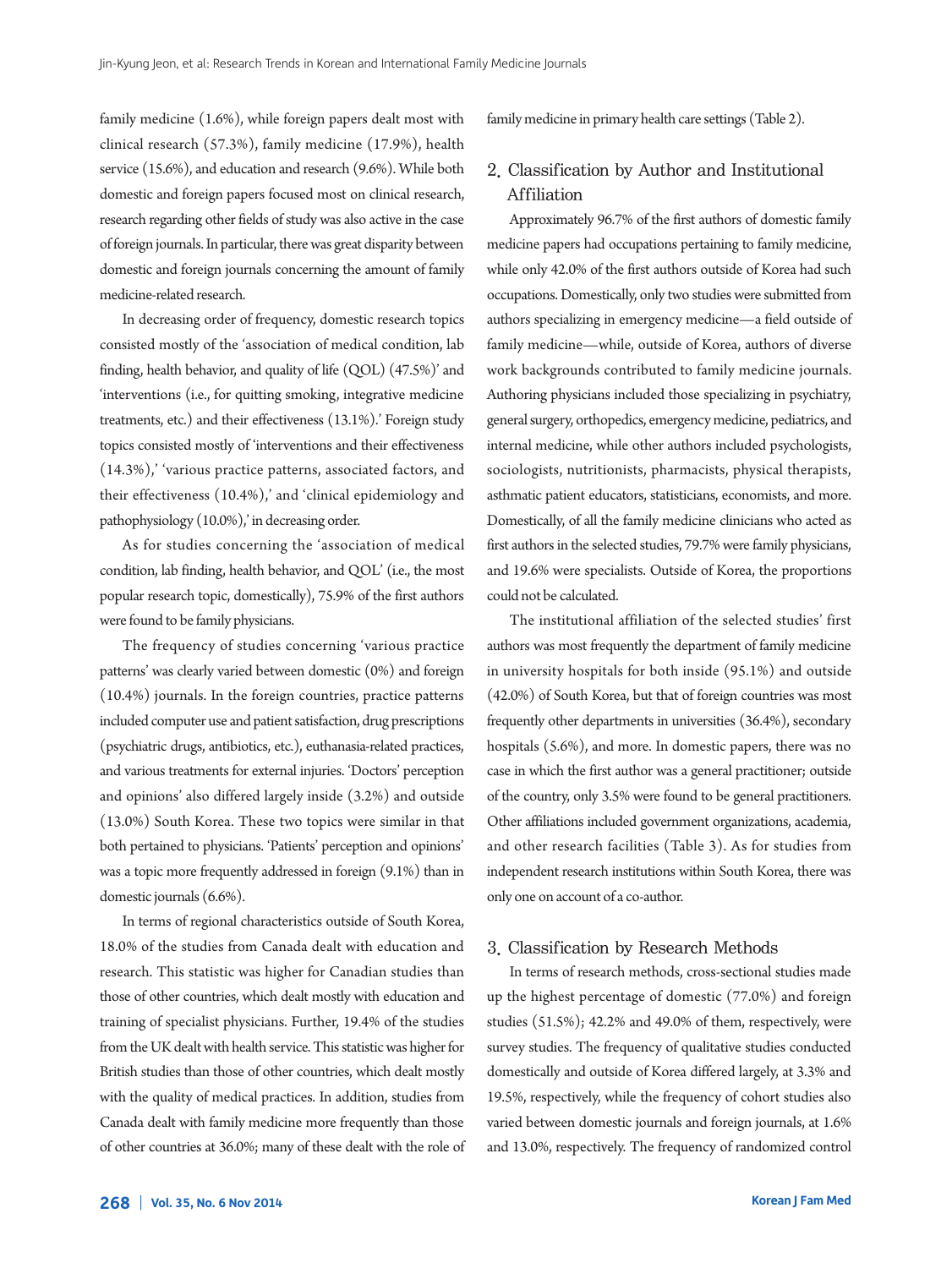family medicine (1.6%), while foreign papers dealt most with clinical research (57.3%), family medicine (17.9%), health service (15.6%), and education and research (9.6%). While both domestic and foreign papers focused most on clinical research, research regarding other fields of study was also active in the case of foreign journals. In particular, there was great disparity between domestic and foreign journals concerning the amount of family medicine-related research.

In decreasing order of frequency, domestic research topics consisted mostly of the 'association of medical condition, lab finding, health behavior, and quality of life (QOL) (47.5%)' and 'interventions (i.e., for quitting smoking, integrative medicine treatments, etc.) and their effectiveness (13.1%).' Foreign study topics consisted mostly of 'interventions and their effectiveness (14.3%),' 'various practice patterns, associated factors, and their effectiveness (10.4%),' and 'clinical epidemiology and pathophysiology (10.0%),' in decreasing order.

As for studies concerning the 'association of medical condition, lab finding, health behavior, and QOL' (i.e., the most popular research topic, domestically), 75.9% of the first authors were found to be family physicians.

The frequency of studies concerning 'various practice patterns' was clearly varied between domestic (0%) and foreign (10.4%) journals. In the foreign countries, practice patterns included computer use and patient satisfaction, drug prescriptions (psychiatric drugs, antibiotics, etc.), euthanasia-related practices, and various treatments for external injuries. 'Doctors' perception and opinions' also differed largely inside (3.2%) and outside (13.0%) South Korea. These two topics were similar in that both pertained to physicians. 'Patients' perception and opinions' was a topic more frequently addressed in foreign (9.1%) than in domestic journals (6.6%).

In terms of regional characteristics outside of South Korea, 18.0% of the studies from Canada dealt with education and research. This statistic was higher for Canadian studies than those of other countries, which dealt mostly with education and training of specialist physicians. Further, 19.4% of the studies from the UK dealt with health service. This statistic was higher for British studies than those of other countries, which dealt mostly with the quality of medical practices. In addition, studies from Canada dealt with family medicine more frequently than those of other countries at 36.0%; many of these dealt with the role of family medicine in primary health care settings (Table 2).

# 2. Classification by Author and Institutional Affiliation

Approximately 96.7% of the first authors of domestic family medicine papers had occupations pertaining to family medicine, while only 42.0% of the first authors outside of Korea had such occupations. Domestically, only two studies were submitted from authors specializing in emergency medicine—a field outside of family medicine—while, outside of Korea, authors of diverse work backgrounds contributed to family medicine journals. Authoring physicians included those specializing in psychiatry, general surgery, orthopedics, emergency medicine, pediatrics, and internal medicine, while other authors included psychologists, sociologists, nutritionists, pharmacists, physical therapists, asthmatic patient educators, statisticians, economists, and more. Domestically, of all the family medicine clinicians who acted as first authors in the selected studies, 79.7% were family physicians, and 19.6% were specialists. Outside of Korea, the proportions could not be calculated.

The institutional affiliation of the selected studies' first authors was most frequently the department of family medicine in university hospitals for both inside (95.1%) and outside (42.0%) of South Korea, but that of foreign countries was most frequently other departments in universities (36.4%), secondary hospitals (5.6%), and more. In domestic papers, there was no case in which the first author was a general practitioner; outside of the country, only 3.5% were found to be general practitioners. Other affiliations included government organizations, academia, and other research facilities (Table 3). As for studies from independent research institutions within South Korea, there was only one on account of a co-author.

## 3. Classification by Research Methods

In terms of research methods, cross-sectional studies made up the highest percentage of domestic (77.0%) and foreign studies (51.5%); 42.2% and 49.0% of them, respectively, were survey studies. The frequency of qualitative studies conducted domestically and outside of Korea differed largely, at 3.3% and 19.5%, respectively, while the frequency of cohort studies also varied between domestic journals and foreign journals, at 1.6% and 13.0%, respectively. The frequency of randomized control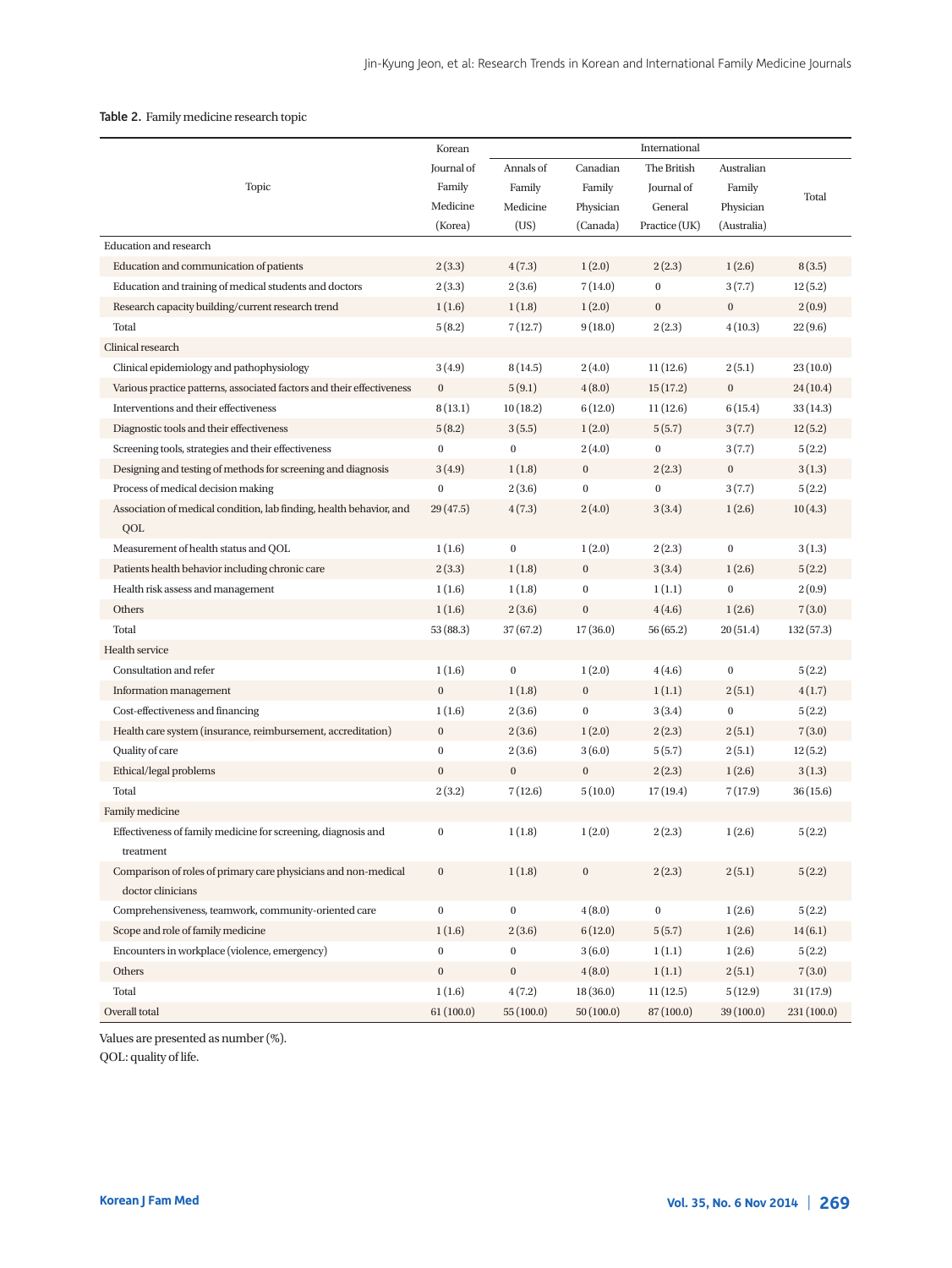## Table 2. Family medicine research topic

|                                                                       | Korean           |                  |                  | International    |                  |            |
|-----------------------------------------------------------------------|------------------|------------------|------------------|------------------|------------------|------------|
|                                                                       | Journal of       | Annals of        | Canadian         | The British      | Australian       |            |
| Topic                                                                 | Family           | Family           | Family           | Journal of       | Family           |            |
|                                                                       | Medicine         | Medicine         | Physician        | General          | Physician        | Total      |
|                                                                       | (Korea)          | (US)             | (Canada)         | Practice (UK)    | (Australia)      |            |
| <b>Education and research</b>                                         |                  |                  |                  |                  |                  |            |
| Education and communication of patients                               | 2(3.3)           | 4(7.3)           | 1(2.0)           | 2(2.3)           | 1(2.6)           | 8(3.5)     |
| Education and training of medical students and doctors                | 2(3.3)           | 2(3.6)           | 7(14.0)          | $\boldsymbol{0}$ | 3(7.7)           | 12(5.2)    |
| Research capacity building/current research trend                     | 1(1.6)           | 1(1.8)           | 1(2.0)           | $\bf{0}$         | $\boldsymbol{0}$ | 2(0.9)     |
| Total                                                                 | 5(8.2)           | 7(12.7)          | 9(18.0)          | 2(2.3)           | 4(10.3)          | 22(9.6)    |
| Clinical research                                                     |                  |                  |                  |                  |                  |            |
| Clinical epidemiology and pathophysiology                             | 3(4.9)           | 8(14.5)          | 2(4.0)           | 11(12.6)         | 2(5.1)           | 23(10.0)   |
| Various practice patterns, associated factors and their effectiveness | $\bf{0}$         | 5(9.1)           | 4(8.0)           | 15(17.2)         | $\bf{0}$         | 24 (10.4)  |
| Interventions and their effectiveness                                 | 8(13.1)          | 10(18.2)         | 6(12.0)          | 11(12.6)         | 6(15.4)          | 33(14.3)   |
| Diagnostic tools and their effectiveness                              | 5(8.2)           | 3(5.5)           | 1(2.0)           | 5(5.7)           | 3(7.7)           | 12(5.2)    |
| Screening tools, strategies and their effectiveness                   | $\mathbf{0}$     | $\bf{0}$         | 2(4.0)           | $\boldsymbol{0}$ | 3(7.7)           | 5(2.2)     |
| Designing and testing of methods for screening and diagnosis          | 3(4.9)           | 1(1.8)           | $\bf{0}$         | 2(2.3)           | $\bf{0}$         | 3(1.3)     |
| Process of medical decision making                                    | $\boldsymbol{0}$ | 2(3.6)           | $\bf{0}$         | $\boldsymbol{0}$ | 3(7.7)           | 5(2.2)     |
| Association of medical condition, lab finding, health behavior, and   | 29(47.5)         | 4(7.3)           | 2(4.0)           | 3(3.4)           | 1(2.6)           | 10(4.3)    |
| QOL                                                                   |                  |                  |                  |                  |                  |            |
| Measurement of health status and QOL                                  | 1(1.6)           | $\bf{0}$         | 1(2.0)           | 2(2.3)           | $\bf{0}$         | 3(1.3)     |
| Patients health behavior including chronic care                       | 2(3.3)           | 1(1.8)           | $\boldsymbol{0}$ | 3(3.4)           | 1(2.6)           | 5(2.2)     |
| Health risk assess and management                                     | 1(1.6)           | 1(1.8)           | $\boldsymbol{0}$ | 1(1.1)           | $\boldsymbol{0}$ | 2(0.9)     |
| Others                                                                | 1(1.6)           | 2(3.6)           | $\bf{0}$         | 4(4.6)           | 1(2.6)           | 7(3.0)     |
| Total                                                                 | 53(88.3)         | 37(67.2)         | 17(36.0)         | 56(65.2)         | 20(51.4)         | 132(57.3)  |
| Health service                                                        |                  |                  |                  |                  |                  |            |
| Consultation and refer                                                | 1(1.6)           | $\bf{0}$         | 1(2.0)           | 4(4.6)           | $\boldsymbol{0}$ | 5(2.2)     |
| Information management                                                | $\bf{0}$         | 1(1.8)           | $\boldsymbol{0}$ | 1(1.1)           | 2(5.1)           | 4(1.7)     |
| Cost-effectiveness and financing                                      | 1(1.6)           | 2(3.6)           | $\bf{0}$         | 3(3.4)           | $\boldsymbol{0}$ | 5(2.2)     |
| Health care system (insurance, reimbursement, accreditation)          | $\bf{0}$         | 2(3.6)           | 1(2.0)           | 2(2.3)           | 2(5.1)           | 7(3.0)     |
| Quality of care                                                       | $\boldsymbol{0}$ | 2(3.6)           | 3(6.0)           | 5(5.7)           | 2(5.1)           | 12(5.2)    |
| Ethical/legal problems                                                | $\boldsymbol{0}$ | $\boldsymbol{0}$ | $\bf{0}$         | 2(2.3)           | 1(2.6)           | 3(1.3)     |
| Total                                                                 | 2(3.2)           | 7(12.6)          | 5(10.0)          | 17(19.4)         | 7(17.9)          | 36 (15.6)  |
| Family medicine                                                       |                  |                  |                  |                  |                  |            |
| Effectiveness of family medicine for screening, diagnosis and         | $\mathbf{0}$     | 1(1.8)           | 1(2.0)           | 2(2.3)           | 1(2.6)           | 5(2.2)     |
| treatment                                                             |                  |                  |                  |                  |                  |            |
| Comparison of roles of primary care physicians and non-medical        | $\boldsymbol{0}$ | 1(1.8)           | $\boldsymbol{0}$ | 2(2.3)           | 2(5.1)           | 5(2.2)     |
| doctor clinicians                                                     |                  |                  |                  |                  |                  |            |
| Comprehensiveness, teamwork, community-oriented care                  | $\boldsymbol{0}$ | $\bf{0}$         | 4(8.0)           | $\boldsymbol{0}$ | 1(2.6)           | 5(2.2)     |
| Scope and role of family medicine                                     | 1(1.6)           | 2(3.6)           | 6(12.0)          | 5(5.7)           | 1(2.6)           | 14(6.1)    |
| Encounters in workplace (violence, emergency)                         | $\boldsymbol{0}$ | $\boldsymbol{0}$ | 3(6.0)           | 1(1.1)           | 1(2.6)           | 5(2.2)     |
| Others                                                                | $\boldsymbol{0}$ | $\boldsymbol{0}$ | 4(8.0)           | 1(1.1)           | 2(5.1)           | 7(3.0)     |
| Total                                                                 | 1(1.6)           | 4(7.2)           | 18(36.0)         | 11(12.5)         | 5(12.9)          | 31(17.9)   |
| Overall total                                                         | 61(100.0)        | 55(100.0)        | 50(100.0)        | 87 (100.0)       | 39 (100.0)       | 231(100.0) |

Values are presented as number (%).

QOL: quality of life.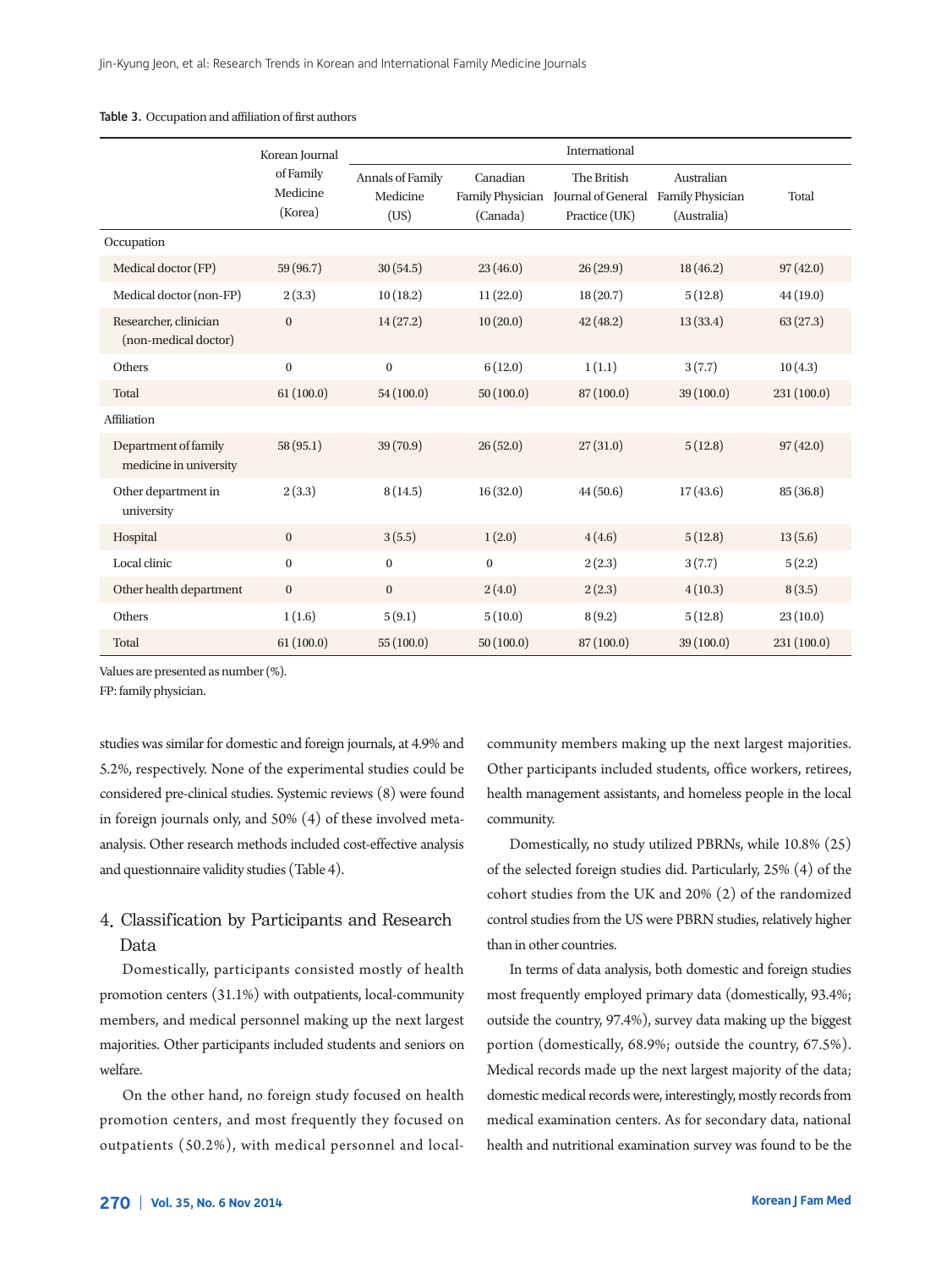|                                                | Korean Journal                   | International                        |                      |                                                                                      |                           |             |  |
|------------------------------------------------|----------------------------------|--------------------------------------|----------------------|--------------------------------------------------------------------------------------|---------------------------|-------------|--|
|                                                | of Family<br>Medicine<br>(Korea) | Annals of Family<br>Medicine<br>(US) | Canadian<br>(Canada) | The British<br>Family Physician Journal of General Family Physician<br>Practice (UK) | Australian<br>(Australia) | Total       |  |
| Occupation                                     |                                  |                                      |                      |                                                                                      |                           |             |  |
| Medical doctor (FP)                            | 59 (96.7)                        | 30(54.5)                             | 23(46.0)             | 26(29.9)                                                                             | 18(46.2)                  | 97(42.0)    |  |
| Medical doctor (non-FP)                        | 2(3.3)                           | 10(18.2)                             | 11(22.0)             | 18(20.7)                                                                             | 5(12.8)                   | 44 (19.0)   |  |
| Researcher, clinician<br>(non-medical doctor)  | $\mathbf{0}$                     | 14(27.2)                             | 10(20.0)             | 42(48.2)                                                                             | 13(33.4)                  | 63(27.3)    |  |
| Others                                         | $\mathbf{0}$                     | $\mathbf{0}$                         | 6(12.0)              | 1(1.1)                                                                               | 3(7.7)                    | 10(4.3)     |  |
| Total                                          | 61(100.0)                        | 54(100.0)                            | 50(100.0)            | 87(100.0)                                                                            | 39 (100.0)                | 231(100.0)  |  |
| Affiliation                                    |                                  |                                      |                      |                                                                                      |                           |             |  |
| Department of family<br>medicine in university | 58(95.1)                         | 39 (70.9)                            | 26(52.0)             | 27(31.0)                                                                             | 5(12.8)                   | 97(42.0)    |  |
| Other department in<br>university              | 2(3.3)                           | 8(14.5)                              | 16(32.0)             | 44(50.6)                                                                             | 17(43.6)                  | 85(36.8)    |  |
| Hospital                                       | $\mathbf{0}$                     | 3(5.5)                               | 1(2.0)               | 4(4.6)                                                                               | 5(12.8)                   | 13(5.6)     |  |
| Local clinic                                   | $\boldsymbol{0}$                 | $\boldsymbol{0}$                     | $\boldsymbol{0}$     | 2(2.3)                                                                               | 3(7.7)                    | 5(2.2)      |  |
| Other health department                        | $\mathbf{0}$                     | $\mathbf{0}$                         | 2(4.0)               | 2(2.3)                                                                               | 4(10.3)                   | 8(3.5)      |  |
| Others                                         | 1(1.6)                           | 5(9.1)                               | 5(10.0)              | 8(9.2)                                                                               | 5(12.8)                   | 23(10.0)    |  |
| Total                                          | 61(100.0)                        | 55(100.0)                            | 50(100.0)            | 87 (100.0)                                                                           | 39 (100.0)                | 231 (100.0) |  |

Table 3. Occupation and affiliation of first authors

Values are presented as number (%).

FP: family physician.

studies was similar for domestic and foreign journals, at 4.9% and 5.2%, respectively. None of the experimental studies could be considered pre-clinical studies. Systemic reviews (8) were found in foreign journals only, and 50% (4) of these involved metaanalysis. Other research methods included cost-effective analysis and questionnaire validity studies (Table 4).

# 4. Classification by Participants and Research Data

Domestically, participants consisted mostly of health promotion centers (31.1%) with outpatients, local-community members, and medical personnel making up the next largest majorities. Other participants included students and seniors on welfare.

On the other hand, no foreign study focused on health promotion centers, and most frequently they focused on outpatients (50.2%), with medical personnel and local-

community members making up the next largest majorities. Other participants included students, office workers, retirees, health management assistants, and homeless people in the local community.

Domestically, no study utilized PBRNs, while 10.8% (25) of the selected foreign studies did. Particularly, 25% (4) of the cohort studies from the UK and 20% (2) of the randomized control studies from the US were PBRN studies, relatively higher than in other countries.

In terms of data analysis, both domestic and foreign studies most frequently employed primary data (domestically, 93.4%; outside the country, 97.4%), survey data making up the biggest portion (domestically, 68.9%; outside the country, 67.5%). Medical records made up the next largest majority of the data; domestic medical records were, interestingly, mostly records from medical examination centers. As for secondary data, national health and nutritional examination survey was found to be the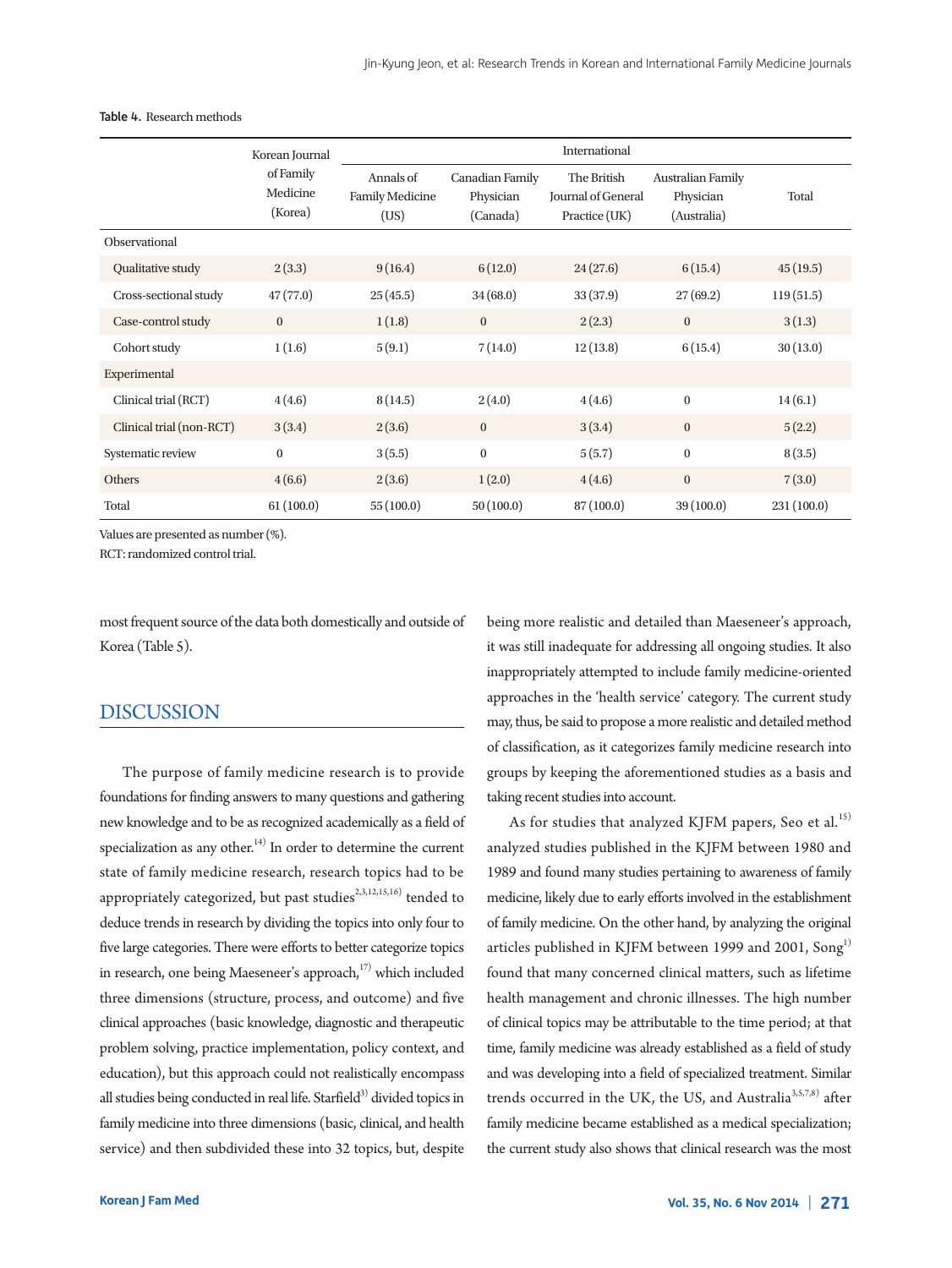|                          | Korean Journal                   | International                               |                                          |                                                    |                                               |            |  |
|--------------------------|----------------------------------|---------------------------------------------|------------------------------------------|----------------------------------------------------|-----------------------------------------------|------------|--|
|                          | of Family<br>Medicine<br>(Korea) | Annals of<br><b>Family Medicine</b><br>(US) | Canadian Family<br>Physician<br>(Canada) | The British<br>Journal of General<br>Practice (UK) | Australian Family<br>Physician<br>(Australia) | Total      |  |
| Observational            |                                  |                                             |                                          |                                                    |                                               |            |  |
| Qualitative study        | 2(3.3)                           | 9(16.4)                                     | 6(12.0)                                  | 24(27.6)                                           | 6(15.4)                                       | 45(19.5)   |  |
| Cross-sectional study    | 47(77.0)                         | 25(45.5)                                    | 34(68.0)                                 | 33(37.9)                                           | 27(69.2)                                      | 119(51.5)  |  |
| Case-control study       | $\mathbf{0}$                     | 1(1.8)                                      | $\boldsymbol{0}$                         | 2(2.3)                                             | $\mathbf{0}$                                  | 3(1.3)     |  |
| Cohort study             | 1(1.6)                           | 5(9.1)                                      | 7(14.0)                                  | 12(13.8)                                           | 6(15.4)                                       | 30(13.0)   |  |
| Experimental             |                                  |                                             |                                          |                                                    |                                               |            |  |
| Clinical trial (RCT)     | 4(4.6)                           | 8(14.5)                                     | 2(4.0)                                   | 4(4.6)                                             | $\boldsymbol{0}$                              | 14(6.1)    |  |
| Clinical trial (non-RCT) | 3(3.4)                           | 2(3.6)                                      | $\bf{0}$                                 | 3(3.4)                                             | $\mathbf{0}$                                  | 5(2.2)     |  |
| Systematic review        | $\mathbf{0}$                     | 3(5.5)                                      | $\boldsymbol{0}$                         | 5(5.7)                                             | $\boldsymbol{0}$                              | 8(3.5)     |  |
| Others                   | 4(6.6)                           | 2(3.6)                                      | 1(2.0)                                   | 4(4.6)                                             | $\boldsymbol{0}$                              | 7(3.0)     |  |
| Total                    | 61(100.0)                        | 55(100.0)                                   | 50(100.0)                                | 87(100.0)                                          | 39(100.0)                                     | 231(100.0) |  |

Table 4. Research methods

Values are presented as number (%).

RCT: randomized control trial.

most frequent source of the data both domestically and outside of Korea (Table 5).

# DISCUSSION

The purpose of family medicine research is to provide foundations for finding answers to many questions and gathering new knowledge and to be as recognized academically as a field of specialization as any other.<sup>14)</sup> In order to determine the current state of family medicine research, research topics had to be appropriately categorized, but past studies<sup>2,3,12,15,16)</sup> tended to deduce trends in research by dividing the topics into only four to five large categories. There were efforts to better categorize topics in research, one being Maeseneer's approach,<sup>17)</sup> which included three dimensions (structure, process, and outcome) and five clinical approaches (basic knowledge, diagnostic and therapeutic problem solving, practice implementation, policy context, and education), but this approach could not realistically encompass all studies being conducted in real life. Starfield<sup>3)</sup> divided topics in family medicine into three dimensions (basic, clinical, and health service) and then subdivided these into 32 topics, but, despite

being more realistic and detailed than Maeseneer's approach, it was still inadequate for addressing all ongoing studies. It also inappropriately attempted to include family medicine-oriented approaches in the 'health service' category. The current study may, thus, be said to propose a more realistic and detailed method of classification, as it categorizes family medicine research into groups by keeping the aforementioned studies as a basis and taking recent studies into account.

As for studies that analyzed KJFM papers, Seo et al. 15) analyzed studies published in the KJFM between 1980 and 1989 and found many studies pertaining to awareness of family medicine, likely due to early efforts involved in the establishment of family medicine. On the other hand, by analyzing the original articles published in KJFM between 1999 and 2001, Song<sup>1)</sup> found that many concerned clinical matters, such as lifetime health management and chronic illnesses. The high number of clinical topics may be attributable to the time period; at that time, family medicine was already established as a field of study and was developing into a field of specialized treatment. Similar trends occurred in the UK, the US, and Australia<sup>3,5,7,8)</sup> after family medicine became established as a medical specialization; the current study also shows that clinical research was the most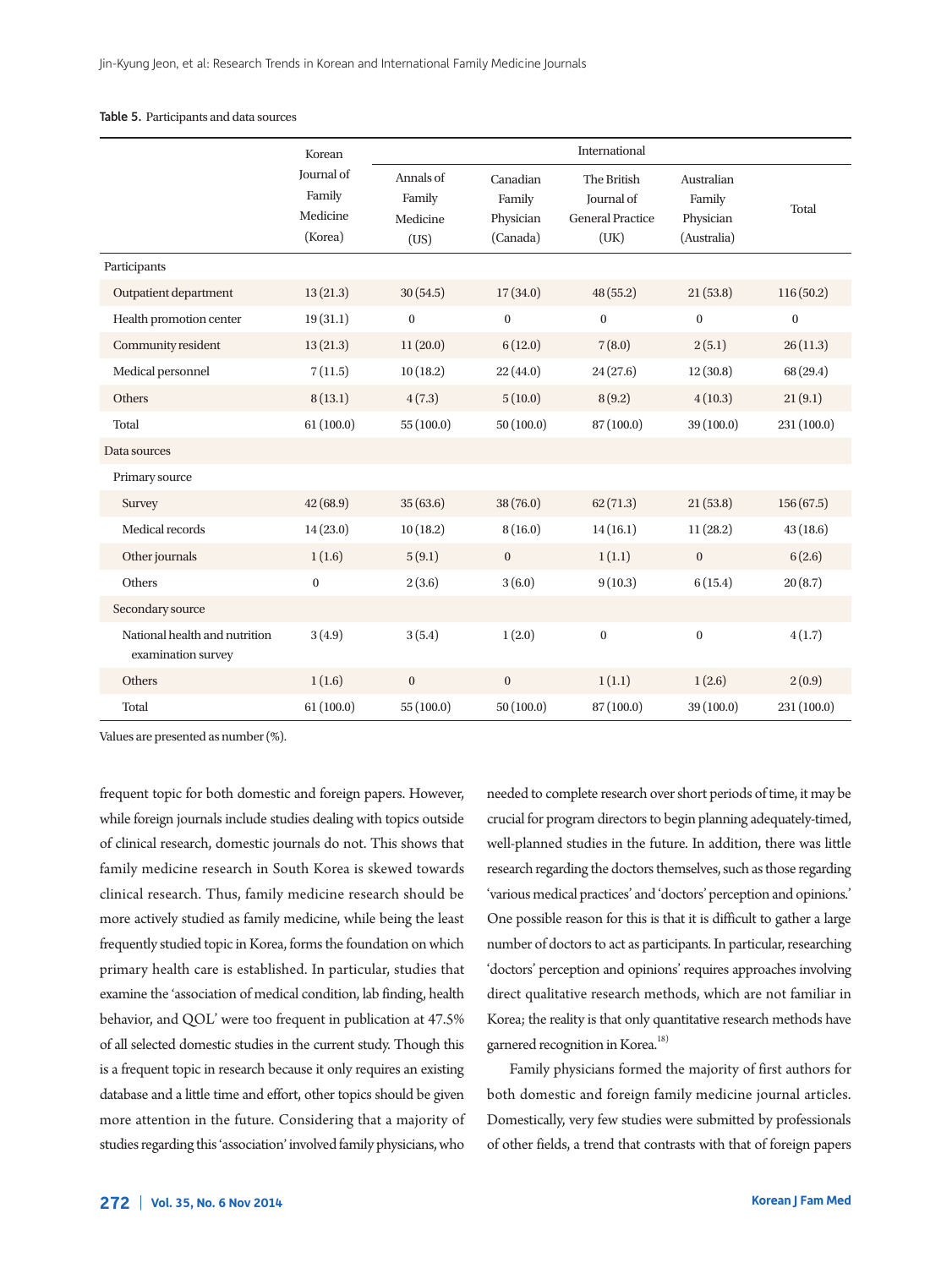#### Table 5. Participants and data sources

|                                                     | Korean                                      | International                           |                                             |                                                                     |                                                  |                  |
|-----------------------------------------------------|---------------------------------------------|-----------------------------------------|---------------------------------------------|---------------------------------------------------------------------|--------------------------------------------------|------------------|
|                                                     | Journal of<br>Family<br>Medicine<br>(Korea) | Annals of<br>Family<br>Medicine<br>(US) | Canadian<br>Family<br>Physician<br>(Canada) | The British<br><b>Journal</b> of<br><b>General Practice</b><br>(UK) | Australian<br>Family<br>Physician<br>(Australia) | Total            |
| Participants                                        |                                             |                                         |                                             |                                                                     |                                                  |                  |
| Outpatient department                               | 13(21.3)                                    | 30(54.5)                                | 17(34.0)                                    | 48(55.2)                                                            | 21(53.8)                                         | 116(50.2)        |
| Health promotion center                             | 19(31.1)                                    | $\bf{0}$                                | $\mathbf{0}$                                | $\boldsymbol{0}$                                                    | $\mathbf{0}$                                     | $\boldsymbol{0}$ |
| Community resident                                  | 13(21.3)                                    | 11(20.0)                                | 6(12.0)                                     | 7(8.0)                                                              | 2(5.1)                                           | 26(11.3)         |
| Medical personnel                                   | 7(11.5)                                     | 10(18.2)                                | 22(44.0)                                    | 24(27.6)                                                            | 12(30.8)                                         | 68 (29.4)        |
| Others                                              | 8(13.1)                                     | 4(7.3)                                  | 5(10.0)                                     | 8(9.2)                                                              | 4(10.3)                                          | 21(9.1)          |
| Total                                               | 61(100.0)                                   | 55(100.0)                               | 50(100.0)                                   | 87 (100.0)                                                          | 39 (100.0)                                       | 231 (100.0)      |
| Data sources                                        |                                             |                                         |                                             |                                                                     |                                                  |                  |
| Primary source                                      |                                             |                                         |                                             |                                                                     |                                                  |                  |
| Survey                                              | 42(68.9)                                    | 35(63.6)                                | 38(76.0)                                    | 62(71.3)                                                            | 21(53.8)                                         | 156(67.5)        |
| Medical records                                     | 14(23.0)                                    | 10(18.2)                                | 8(16.0)                                     | 14(16.1)                                                            | 11(28.2)                                         | 43(18.6)         |
| Other journals                                      | 1(1.6)                                      | 5(9.1)                                  | $\boldsymbol{0}$                            | 1(1.1)                                                              | $\mathbf{0}$                                     | 6(2.6)           |
| Others                                              | $\boldsymbol{0}$                            | 2(3.6)                                  | 3(6.0)                                      | 9(10.3)                                                             | 6(15.4)                                          | 20(8.7)          |
| Secondary source                                    |                                             |                                         |                                             |                                                                     |                                                  |                  |
| National health and nutrition<br>examination survey | 3(4.9)                                      | 3(5.4)                                  | 1(2.0)                                      | $\boldsymbol{0}$                                                    | $\boldsymbol{0}$                                 | 4(1.7)           |
| Others                                              | 1(1.6)                                      | $\mathbf 0$                             | $\boldsymbol{0}$                            | 1(1.1)                                                              | 1(2.6)                                           | 2(0.9)           |
| Total                                               | 61(100.0)                                   | 55(100.0)                               | 50(100.0)                                   | 87(100.0)                                                           | 39 (100.0)                                       | 231 (100.0)      |

Values are presented as number (%).

frequent topic for both domestic and foreign papers. However, while foreign journals include studies dealing with topics outside of clinical research, domestic journals do not. This shows that family medicine research in South Korea is skewed towards clinical research. Thus, family medicine research should be more actively studied as family medicine, while being the least frequently studied topic in Korea, forms the foundation on which primary health care is established. In particular, studies that examine the 'association of medical condition, lab finding, health behavior, and QOL' were too frequent in publication at 47.5% of all selected domestic studies in the current study. Though this is a frequent topic in research because it only requires an existing database and a little time and effort, other topics should be given more attention in the future. Considering that a majority of studies regarding this 'association' involved family physicians, who needed to complete research overshort periods of time, it may be crucial for program directors to begin planning adequately-timed, well-planned studies in the future. In addition, there was little research regarding the doctors themselves, such as those regarding 'various medical practices' and 'doctors' perception and opinions.' One possible reason for this is that it is difficult to gather a large number of doctors to act as participants. In particular, researching 'doctors' perception and opinions' requires approaches involving direct qualitative research methods, which are not familiar in Korea; the reality is that only quantitative research methods have garnered recognition in Korea.<sup>18)</sup>

Family physicians formed the majority of first authors for both domestic and foreign family medicine journal articles. Domestically, very few studies were submitted by professionals of other fields, a trend that contrasts with that of foreign papers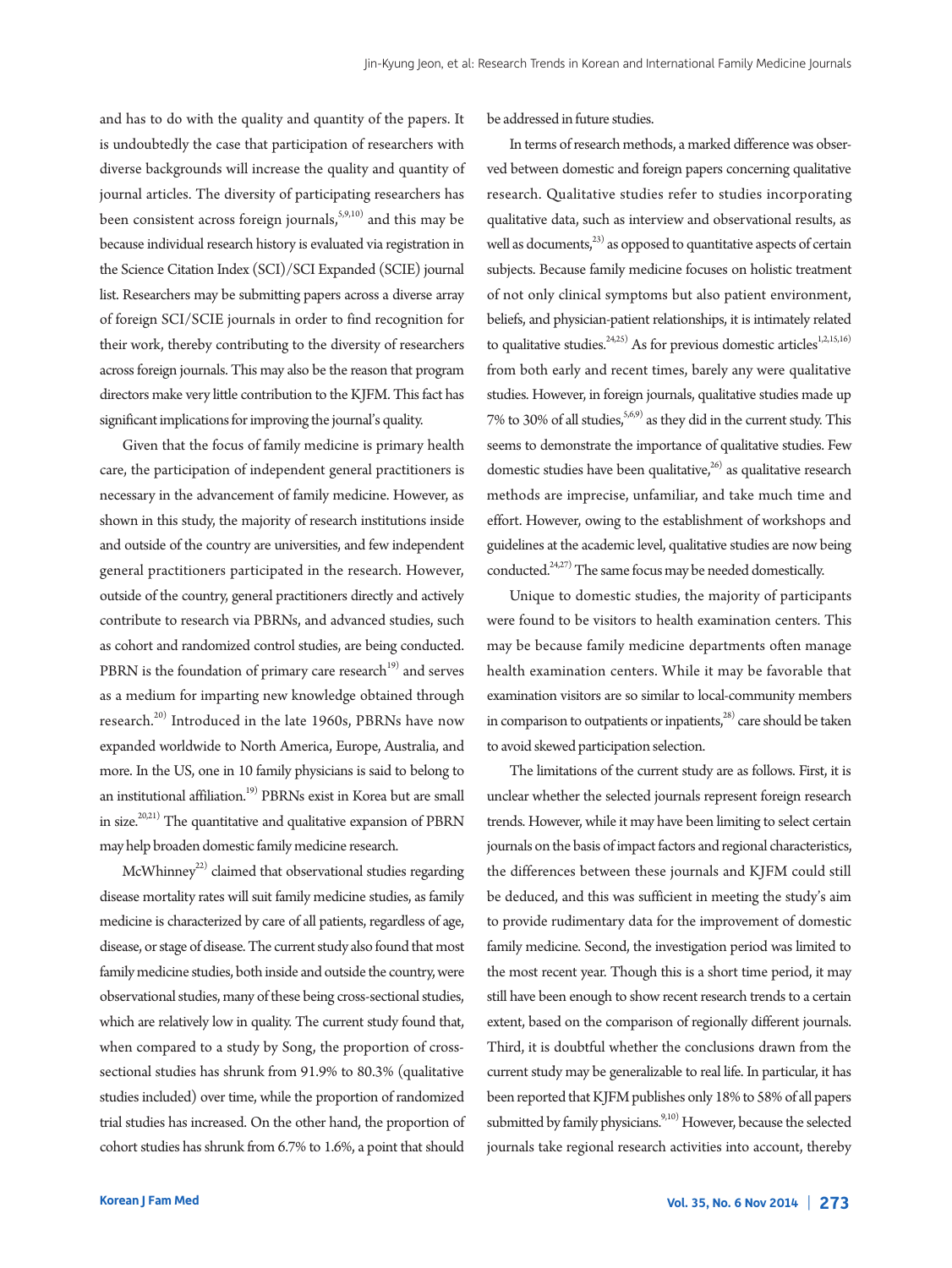and has to do with the quality and quantity of the papers. It is undoubtedly the case that participation of researchers with diverse backgrounds will increase the quality and quantity of journal articles. The diversity of participating researchers has been consistent across foreign journals, $\overset{5,9,10)}{,}$  and this may be because individual research history is evaluated via registration in the Science Citation Index (SCI)/SCI Expanded (SCIE) journal list. Researchers may be submitting papers across a diverse array of foreign SCI/SCIE journals in order to find recognition for their work, thereby contributing to the diversity of researchers across foreign journals. This may also be the reason that program directors make very little contribution to the KJFM. This fact has significant implications for improving the journal's quality.

Given that the focus of family medicine is primary health care, the participation of independent general practitioners is necessary in the advancement of family medicine. However, as shown in this study, the majority of research institutions inside and outside of the country are universities, and few independent general practitioners participated in the research. However, outside of the country, general practitioners directly and actively contribute to research via PBRNs, and advanced studies, such as cohort and randomized control studies, are being conducted. PBRN is the foundation of primary care research<sup>19)</sup> and serves as a medium for imparting new knowledge obtained through research. 20) Introduced in the late 1960s, PBRNs have now expanded worldwide to North America, Europe, Australia, and more. In the US, one in 10 family physicians is said to belong to an institutional affiliation. 19) PBRNs exist in Korea but are small in size. 20,21) The quantitative and qualitative expansion of PBRN may help broaden domestic family medicine research.

McWhinney<sup>22)</sup> claimed that observational studies regarding disease mortality rates will suit family medicine studies, as family medicine is characterized by care of all patients, regardless of age, disease, or stage of disease. The current study also found that most family medicine studies, both inside and outside the country, were observational studies, many of these being cross-sectional studies, which are relatively low in quality. The current study found that, when compared to a study by Song, the proportion of crosssectional studies has shrunk from 91.9% to 80.3% (qualitative studies included) over time, while the proportion of randomized trial studies has increased. On the other hand, the proportion of cohort studies has shrunk from 6.7% to 1.6%, a point that should

be addressed in future studies.

In terms of research methods, a marked difference was observed between domestic and foreign papers concerning qualitative research. Qualitative studies refer to studies incorporating qualitative data, such as interview and observational results, as well as documents,<sup>23)</sup> as opposed to quantitative aspects of certain subjects. Because family medicine focuses on holistic treatment of not only clinical symptoms but also patient environment, beliefs, and physician-patient relationships, it is intimately related to qualitative studies.  $24,25$  As for previous domestic articles  $1,2,15,16$ from both early and recent times, barely any were qualitative studies. However, in foreign journals, qualitative studies made up 7% to 30% of all studies,  $5,6,9$  as they did in the current study. This seems to demonstrate the importance of qualitative studies. Few domestic studies have been qualitative,<sup>26)</sup> as qualitative research methods are imprecise, unfamiliar, and take much time and effort. However, owing to the establishment of workshops and guidelines at the academic level, qualitative studies are now being conducted.<sup>24,27)</sup> The same focus may be needed domestically.

Unique to domestic studies, the majority of participants were found to be visitors to health examination centers. This may be because family medicine departments often manage health examination centers. While it may be favorable that examination visitors are so similar to local-community members in comparison to outpatients or inpatients, $3^{28}$  care should be taken to avoid skewed participation selection.

The limitations of the current study are as follows. First, it is unclear whether the selected journals represent foreign research trends. However, while it may have been limiting to select certain journals on the basis of impact factors and regional characteristics, the differences between these journals and KJFM could still be deduced, and this was sufficient in meeting the study's aim to provide rudimentary data for the improvement of domestic family medicine. Second, the investigation period was limited to the most recent year. Though this is a short time period, it may still have been enough to show recent research trends to a certain extent, based on the comparison of regionally different journals. Third, it is doubtful whether the conclusions drawn from the current study may be generalizable to real life. In particular, it has been reported that KJFM publishes only 18% to 58% of all papers submitted by family physicians.<sup>9,10)</sup> However, because the selected journals take regional research activities into account, thereby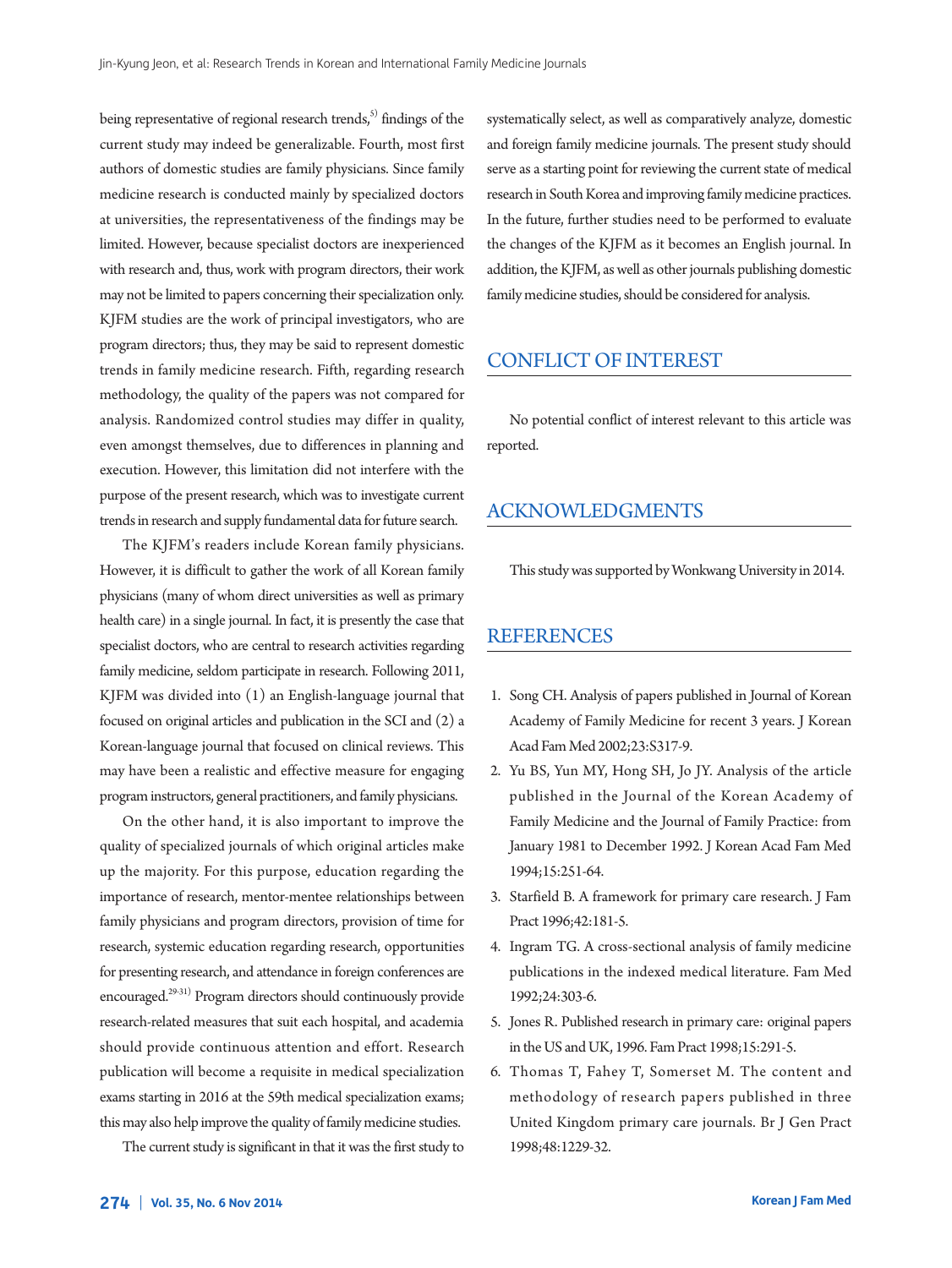being representative of regional research trends,<sup>5)</sup> findings of the current study may indeed be generalizable. Fourth, most first authors of domestic studies are family physicians. Since family medicine research is conducted mainly by specialized doctors at universities, the representativeness of the findings may be limited. However, because specialist doctors are inexperienced with research and, thus, work with program directors, their work may not be limited to papers concerning their specialization only. KJFM studies are the work of principal investigators, who are program directors; thus, they may be said to represent domestic trends in family medicine research. Fifth, regarding research methodology, the quality of the papers was not compared for analysis. Randomized control studies may differ in quality, even amongst themselves, due to differences in planning and execution. However, this limitation did not interfere with the purpose of the present research, which was to investigate current trends in research and supply fundamental data for future search.

The KJFM's readers include Korean family physicians. However, it is difficult to gather the work of all Korean family physicians (many of whom direct universities as well as primary health care) in a single journal. In fact, it is presently the case that specialist doctors, who are central to research activities regarding family medicine, seldom participate in research. Following 2011, KJFM was divided into (1) an English-language journal that focused on original articles and publication in the SCI and (2) a Korean-language journal that focused on clinical reviews. This may have been a realistic and effective measure for engaging programinstructors, general practitioners, and family physicians.

On the other hand, it is also important to improve the quality of specialized journals of which original articles make up the majority. For this purpose, education regarding the importance of research, mentor-mentee relationships between family physicians and program directors, provision of time for research, systemic education regarding research, opportunities for presenting research, and attendance in foreign conferences are encouraged. 29-31) Program directors should continuously provide research-related measures that suit each hospital, and academia should provide continuous attention and effort. Research publication will become a requisite in medical specialization exams starting in 2016 at the 59th medical specialization exams; this may also help improve the quality of family medicine studies.

The current study is significant in that it was the first study to

systematically select, as well as comparatively analyze, domestic and foreign family medicine journals. The present study should serve as a starting point for reviewing the current state of medical research in South Korea and improving family medicine practices. In the future, further studies need to be performed to evaluate the changes of the KJFM as it becomes an English journal. In addition, the KJFM, as well as other journals publishing domestic family medicine studies, should be considered for analysis.

# CONFLICTOF INTEREST

No potential conflict of interest relevant to this article was reported.

# ACKNOWLEDGMENTS

This study was supported by Wonkwang University in 2014.

## **REFERENCES**

- 1. Song CH. Analysis of papers published in Journal of Korean Academy of Family Medicine for recent 3 years. J Korean Acad FamMed 2002;23:S317-9.
- 2. Yu BS, Yun MY, Hong SH, Jo JY. Analysis of the article published in the Journal of the Korean Academy of Family Medicine and the Journal of Family Practice: from January 1981 to December 1992. J Korean Acad Fam Med 1994;15:251-64.
- 3. Starfield B. A framework for primary care research. J Fam Pract 1996;42:181-5.
- 4. Ingram TG. A cross-sectional analysis of family medicine publications in the indexed medical literature. Fam Med 1992;24:303-6.
- 5. Jones R. Published research in primary care: original papers in the US and UK, 1996. Fam Pract 1998;15:291-5.
- 6. Thomas T, Fahey T, Somerset M. The content and methodology of research papers published in three United Kingdom primary care journals. Br J Gen Pract 1998;48:1229-32.